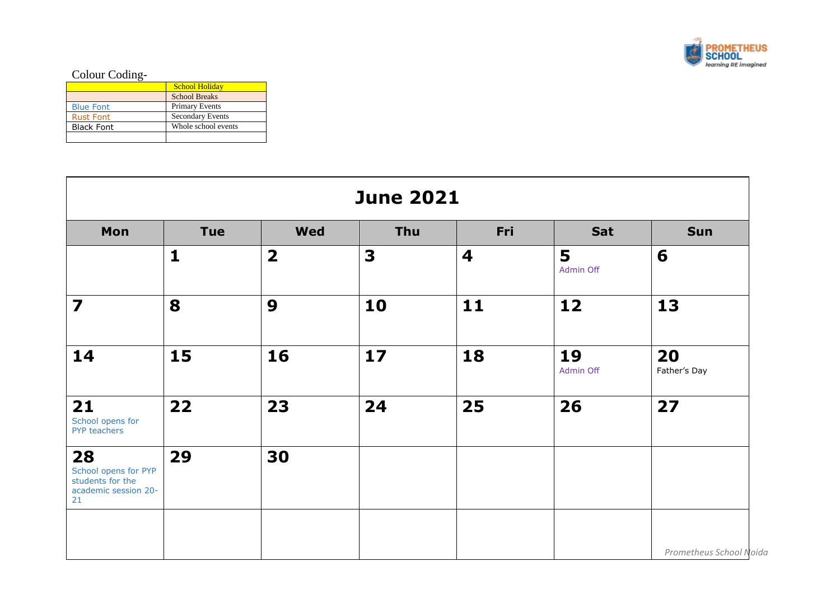

## Colour Coding-

|                   | <b>School Holiday</b>   |
|-------------------|-------------------------|
|                   | <b>School Breaks</b>    |
| <b>Blue Font</b>  | <b>Primary Events</b>   |
| <b>Rust Font</b>  | <b>Secondary Events</b> |
| <b>Black Font</b> | Whole school events     |
|                   |                         |

| <b>June 2021</b>                                                             |                                                             |                         |    |    |                 |                         |  |  |  |  |  |
|------------------------------------------------------------------------------|-------------------------------------------------------------|-------------------------|----|----|-----------------|-------------------------|--|--|--|--|--|
| Mon                                                                          | Thu<br>Fri<br><b>Tue</b><br><b>Wed</b><br>Sat<br><b>Sun</b> |                         |    |    |                 |                         |  |  |  |  |  |
|                                                                              | $\mathbf{1}$                                                | $\overline{\mathbf{2}}$ | 3  | 4  | 5<br>Admin Off  | 6                       |  |  |  |  |  |
| $\overline{\mathbf{z}}$                                                      | 8                                                           | 9                       | 10 | 11 | 12              | 13                      |  |  |  |  |  |
| 14                                                                           | 15                                                          | 16                      | 17 | 18 | 19<br>Admin Off | 20<br>Father's Day      |  |  |  |  |  |
| 21<br>School opens for<br>PYP teachers                                       | 22                                                          | 23                      | 24 | 25 | 26              | 27                      |  |  |  |  |  |
| 28<br>School opens for PYP<br>students for the<br>academic session 20-<br>21 | 29                                                          | 30                      |    |    |                 |                         |  |  |  |  |  |
|                                                                              |                                                             |                         |    |    |                 | Prometheus School Noida |  |  |  |  |  |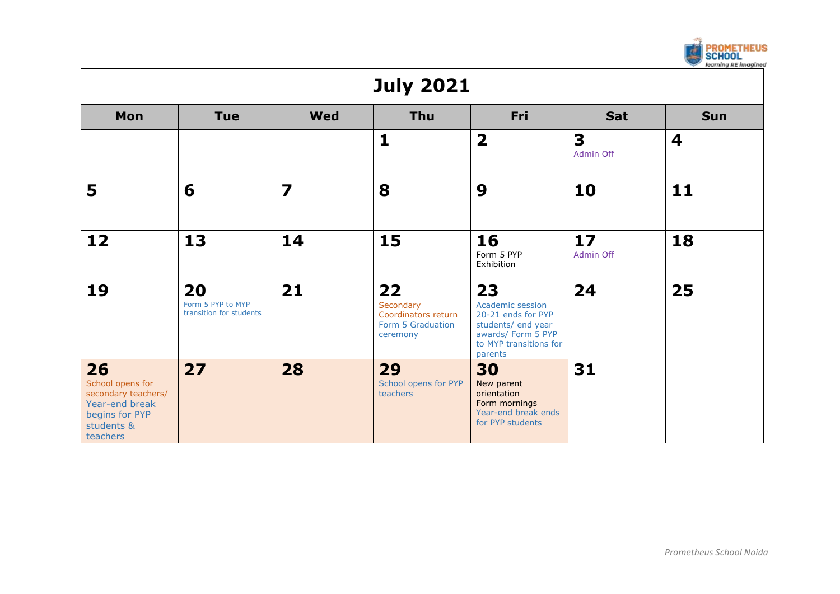|                                                                                                             |                                                    |                         |                                                                         |                                                                                                                               |                 | <b>PROMETHEUS</b><br>SCHOOL<br>learning RE imagined |  |  |  |
|-------------------------------------------------------------------------------------------------------------|----------------------------------------------------|-------------------------|-------------------------------------------------------------------------|-------------------------------------------------------------------------------------------------------------------------------|-----------------|-----------------------------------------------------|--|--|--|
| <b>July 2021</b>                                                                                            |                                                    |                         |                                                                         |                                                                                                                               |                 |                                                     |  |  |  |
| Mon                                                                                                         | <b>Tue</b>                                         | <b>Wed</b>              | <b>Thu</b>                                                              | Fri                                                                                                                           | Sat             | <b>Sun</b>                                          |  |  |  |
|                                                                                                             |                                                    |                         | $\mathbf{1}$                                                            | $\overline{\mathbf{2}}$                                                                                                       | 3<br>Admin Off  | $\overline{\mathbf{4}}$                             |  |  |  |
| 5                                                                                                           | 6                                                  | $\overline{\mathbf{z}}$ | 8                                                                       | 9                                                                                                                             | 10              | 11                                                  |  |  |  |
| 12                                                                                                          | 13                                                 | 14                      | 15                                                                      | 16<br>Form 5 PYP<br>Exhibition                                                                                                | 17<br>Admin Off | 18                                                  |  |  |  |
| 19                                                                                                          | 20<br>Form 5 PYP to MYP<br>transition for students | 21                      | 22<br>Secondary<br>Coordinators return<br>Form 5 Graduation<br>ceremony | 23<br>Academic session<br>20-21 ends for PYP<br>students/ end year<br>awards/ Form 5 PYP<br>to MYP transitions for<br>parents | 24              | 25                                                  |  |  |  |
| 26<br>School opens for<br>secondary teachers/<br>Year-end break<br>begins for PYP<br>students &<br>teachers | 27                                                 | 28                      | 29<br>School opens for PYP<br>teachers                                  | 30<br>New parent<br>orientation<br>Form mornings<br>Year-end break ends<br>for PYP students                                   | 31              |                                                     |  |  |  |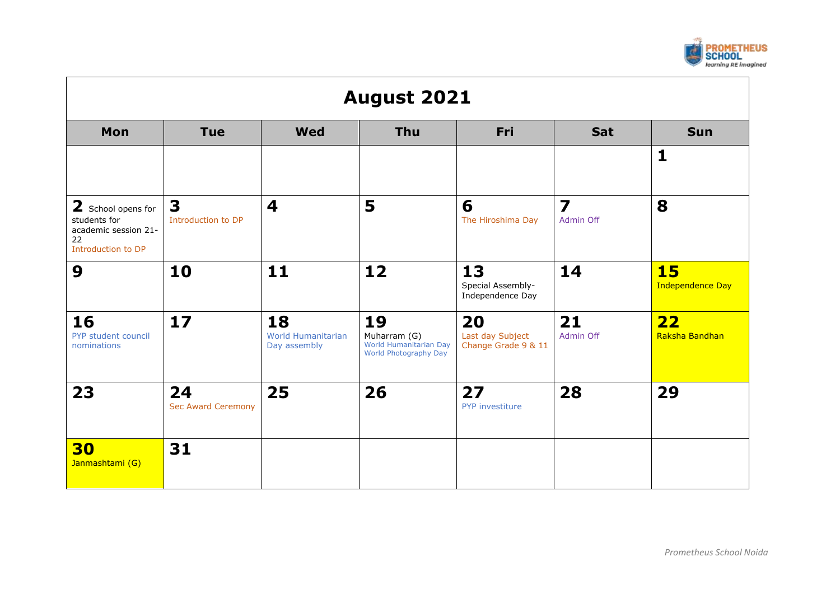

| <b>August 2021</b>                                                                     |                                 |                                                 |                                                                       |                                               |                                      |                                      |  |
|----------------------------------------------------------------------------------------|---------------------------------|-------------------------------------------------|-----------------------------------------------------------------------|-----------------------------------------------|--------------------------------------|--------------------------------------|--|
| Mon                                                                                    | <b>Tue</b>                      | <b>Wed</b>                                      | <b>Thu</b>                                                            | Fri                                           | <b>Sat</b>                           | <b>Sun</b>                           |  |
|                                                                                        |                                 |                                                 |                                                                       |                                               |                                      | $\mathbf{1}$                         |  |
| 2 School opens for<br>students for<br>academic session 21-<br>22<br>Introduction to DP | 3<br>Introduction to DP         | $\overline{\mathbf{4}}$                         | 5                                                                     | 6<br>The Hiroshima Day                        | $\overline{\mathbf{z}}$<br>Admin Off | 8                                    |  |
| 9                                                                                      | 10                              | 11                                              | 12                                                                    | 13<br>Special Assembly-<br>Independence Day   | 14                                   | <b>15</b><br><b>Independence Day</b> |  |
| 16<br>PYP student council<br>nominations                                               | 17                              | 18<br><b>World Humanitarian</b><br>Day assembly | 19<br>Muharram (G)<br>World Humanitarian Day<br>World Photography Day | 20<br>Last day Subject<br>Change Grade 9 & 11 | 21<br>Admin Off                      | 22<br>Raksha Bandhan                 |  |
| 23                                                                                     | 24<br><b>Sec Award Ceremony</b> | 25                                              | 26                                                                    | 27<br>PYP investiture                         | 28                                   | 29                                   |  |
| 30<br>Janmashtami (G)                                                                  | 31                              |                                                 |                                                                       |                                               |                                      |                                      |  |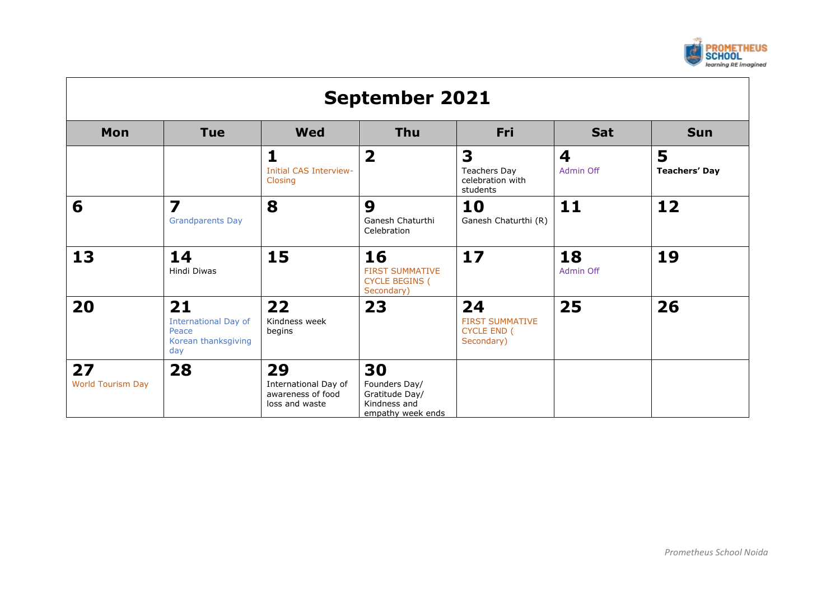

| <b>September 2021</b>          |                                                                          |                                                                   |                                                                            |                                                                  |                 |                           |  |
|--------------------------------|--------------------------------------------------------------------------|-------------------------------------------------------------------|----------------------------------------------------------------------------|------------------------------------------------------------------|-----------------|---------------------------|--|
| Mon                            | <b>Tue</b>                                                               | <b>Wed</b>                                                        | <b>Thu</b>                                                                 | Fri                                                              | <b>Sat</b>      | <b>Sun</b>                |  |
|                                |                                                                          | 1<br><b>Initial CAS Interview-</b><br>Closing                     | $\overline{\mathbf{2}}$                                                    | 3<br><b>Teachers Day</b><br>celebration with<br>students         | 4<br>Admin Off  | 5<br><b>Teachers' Day</b> |  |
| 6                              | 7<br><b>Grandparents Day</b>                                             | 8                                                                 | 9<br>Ganesh Chaturthi<br>Celebration                                       | 10<br>Ganesh Chaturthi (R)                                       | 11              | 12                        |  |
| 13                             | 14<br>Hindi Diwas                                                        | 15                                                                | 16<br><b>FIRST SUMMATIVE</b><br><b>CYCLE BEGINS (</b><br>Secondary)        | 17                                                               | 18<br>Admin Off | 19                        |  |
| 20                             | 21<br><b>International Day of</b><br>Peace<br>Korean thanksgiving<br>day | 22<br>Kindness week<br>begins                                     | 23                                                                         | 24<br><b>FIRST SUMMATIVE</b><br><b>CYCLE END (</b><br>Secondary) | 25              | 26                        |  |
| 27<br><b>World Tourism Day</b> | 28                                                                       | 29<br>International Day of<br>awareness of food<br>loss and waste | 30<br>Founders Day/<br>Gratitude Day/<br>Kindness and<br>empathy week ends |                                                                  |                 |                           |  |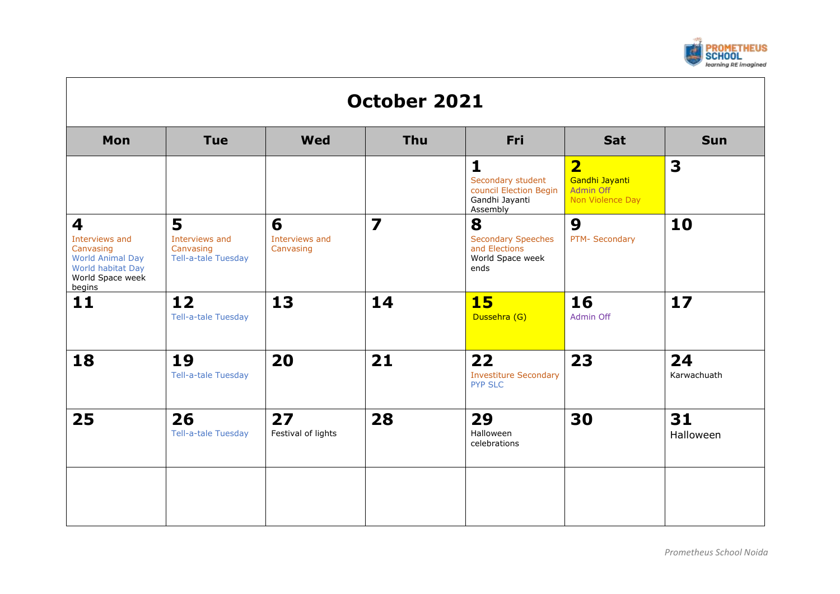

| Mon                                                                                                            | <b>Tue</b>                                                     | Wed                              | <b>Thu</b>              | <b>Fri</b>                                                                                | <b>Sat</b>                                                                        | <b>Sun</b>        |
|----------------------------------------------------------------------------------------------------------------|----------------------------------------------------------------|----------------------------------|-------------------------|-------------------------------------------------------------------------------------------|-----------------------------------------------------------------------------------|-------------------|
|                                                                                                                |                                                                |                                  |                         | $\mathbf{1}$<br>Secondary student<br>council Election Begin<br>Gandhi Jayanti<br>Assembly | $\overline{\mathbf{2}}$<br>Gandhi Jayanti<br><b>Admin Off</b><br>Non Violence Day | 3                 |
| 4<br>Interviews and<br>Canvasing<br><b>World Animal Day</b><br>World habitat Day<br>World Space week<br>begins | 5<br>Interviews and<br>Canvasing<br><b>Tell-a-tale Tuesday</b> | 6<br>Interviews and<br>Canvasing | $\overline{\mathbf{z}}$ | 8<br><b>Secondary Speeches</b><br>and Elections<br>World Space week<br>ends               | 9<br>PTM- Secondary                                                               | 10                |
| 11                                                                                                             | 12<br>Tell-a-tale Tuesday                                      | 13                               | 14                      | <b>15</b><br>Dussehra (G)                                                                 | 16<br>Admin Off                                                                   | 17                |
| 18                                                                                                             | 19<br><b>Tell-a-tale Tuesday</b>                               | 20                               | 21                      | 22<br><b>Investiture Secondary</b><br><b>PYP SLC</b>                                      | 23                                                                                | 24<br>Karwachuath |
| 25                                                                                                             | 26<br>Tell-a-tale Tuesday                                      | 27<br>Festival of lights         | 28                      | 29<br>Halloween<br>celebrations                                                           | 30                                                                                | 31<br>Halloween   |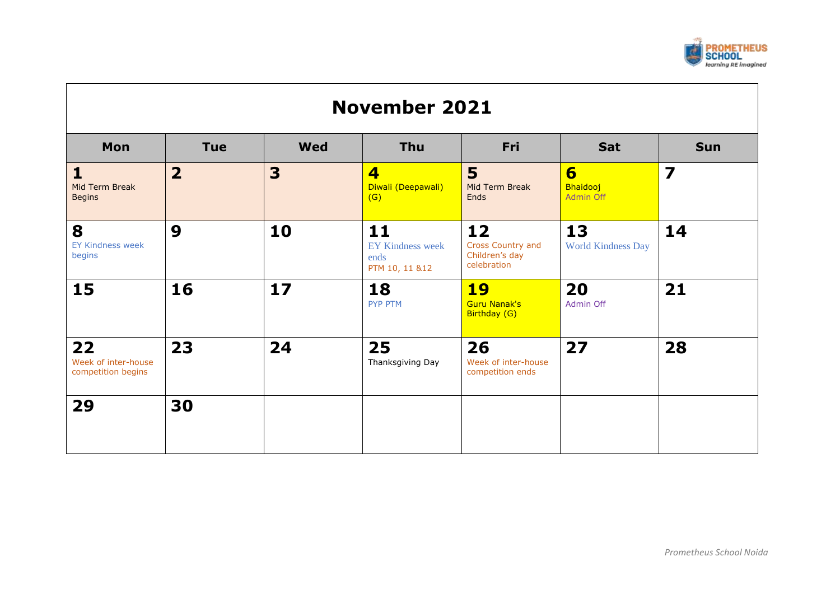

## **November 2021 Mon Tue Wed Thu Fri Sat Sun 1** Mid Term Break **Begins 2 3 4** Diwali (Deepawali)  $(G)$ **5** Mid Term Break **Ends 6** Bhaidooj Admin Off **7 8** EY Kindness week begins **9 10 11** EY Kindness week ends PTM 10, 11 &12 **12** Cross Country and Children's day celebration **13** World Kindness Day **14 15 16 17 18** PYP PTM **19** Guru Nanak's Birthday (G) **20** Admin Off **21 22** Week of inter-house competition begins **23 24 25** [Thanksgiving Day](https://www.calendarlabs.com/holidays/us/thanksgiving-day.php) **26** Week of inter-house competition ends **27 28 29 30**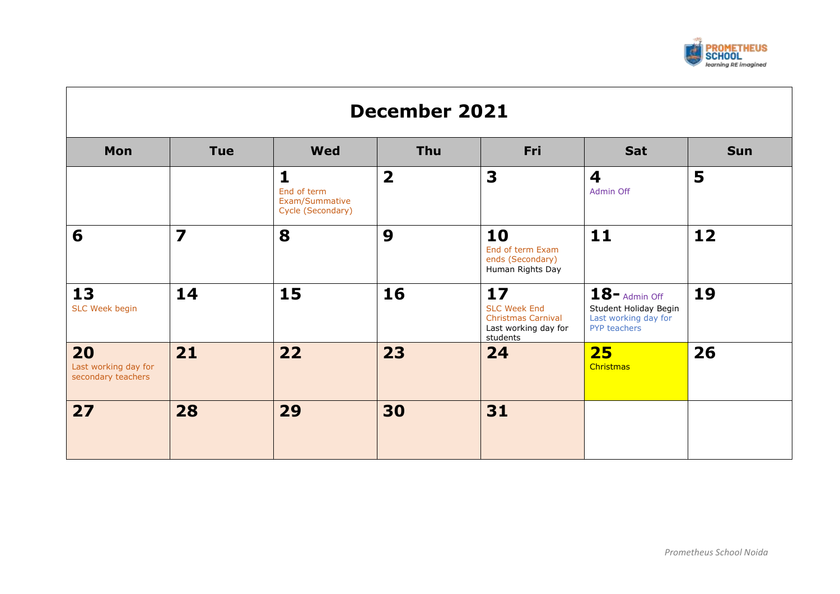

| <b>December 2021</b>                             |                         |                                                                    |                         |                                                                                            |                                                                                   |            |  |  |
|--------------------------------------------------|-------------------------|--------------------------------------------------------------------|-------------------------|--------------------------------------------------------------------------------------------|-----------------------------------------------------------------------------------|------------|--|--|
| Mon                                              | <b>Tue</b>              | <b>Wed</b>                                                         | Thu                     | Fri                                                                                        | <b>Sat</b>                                                                        | <b>Sun</b> |  |  |
|                                                  |                         | $\mathbf{1}$<br>End of term<br>Exam/Summative<br>Cycle (Secondary) | $\overline{\mathbf{2}}$ | 3                                                                                          | $\overline{\mathbf{4}}$<br>Admin Off                                              | 5          |  |  |
| 6                                                | $\overline{\mathbf{z}}$ | 8                                                                  | 9                       | 10<br>End of term Exam<br>ends (Secondary)<br>Human Rights Day                             | 11                                                                                | 12         |  |  |
| 13<br>SLC Week begin                             | 14                      | 15                                                                 | 16                      | 17<br><b>SLC Week End</b><br><b>Christmas Carnival</b><br>Last working day for<br>students | $18$ – Admin Off<br>Student Holiday Begin<br>Last working day for<br>PYP teachers | 19         |  |  |
| 20<br>Last working day for<br>secondary teachers | 21                      | 22                                                                 | 23                      | 24                                                                                         | 25<br>Christmas                                                                   | 26         |  |  |
| 27                                               | 28                      | 29                                                                 | 30                      | 31                                                                                         |                                                                                   |            |  |  |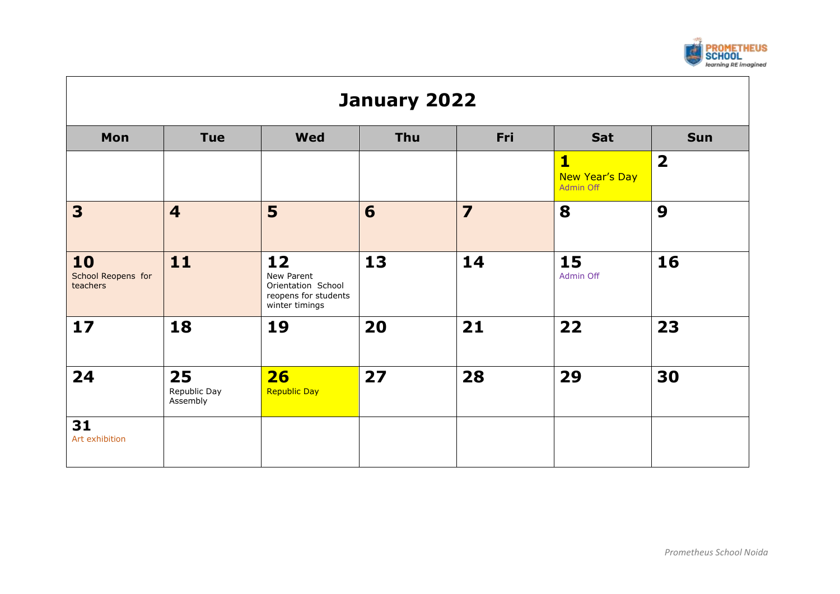

| January 2022                         |                                                                    |                                                                                  |    |                         |                                                               |                         |  |  |  |  |
|--------------------------------------|--------------------------------------------------------------------|----------------------------------------------------------------------------------|----|-------------------------|---------------------------------------------------------------|-------------------------|--|--|--|--|
| Mon                                  | Fri<br><b>Wed</b><br><b>Thu</b><br>Sat<br><b>Tue</b><br><b>Sun</b> |                                                                                  |    |                         |                                                               |                         |  |  |  |  |
|                                      |                                                                    |                                                                                  |    |                         | $\overline{\mathbf{1}}$<br>New Year's Day<br><b>Admin Off</b> | $\overline{\mathbf{2}}$ |  |  |  |  |
| 3                                    | $\overline{\mathbf{4}}$                                            | 5                                                                                | 6  | $\overline{\mathbf{z}}$ | 8                                                             | 9                       |  |  |  |  |
| 10<br>School Reopens for<br>teachers | 11                                                                 | 12<br>New Parent<br>Orientation School<br>reopens for students<br>winter timings | 13 | 14                      | 15<br>Admin Off                                               | 16                      |  |  |  |  |
| 17                                   | 18                                                                 | 19                                                                               | 20 | 21                      | 22                                                            | 23                      |  |  |  |  |
| 24                                   | 25<br>Republic Day<br>Assembly                                     | 26<br><b>Republic Day</b>                                                        | 27 | 28                      | 29                                                            | 30                      |  |  |  |  |
| 31<br>Art exhibition                 |                                                                    |                                                                                  |    |                         |                                                               |                         |  |  |  |  |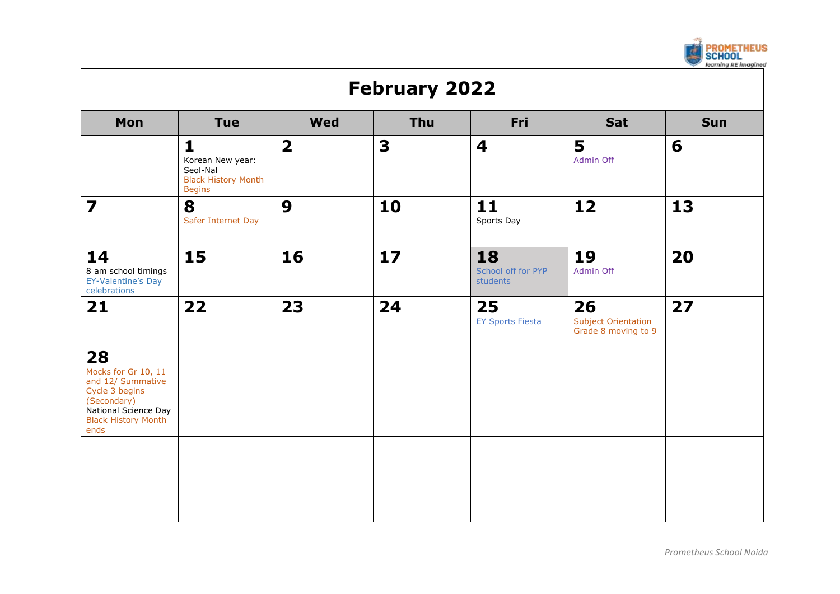

| <b>February 2022</b>                                                                                                                          |                                                                                             |                         |            |                                      |                                                         |            |  |  |
|-----------------------------------------------------------------------------------------------------------------------------------------------|---------------------------------------------------------------------------------------------|-------------------------|------------|--------------------------------------|---------------------------------------------------------|------------|--|--|
| Mon                                                                                                                                           | <b>Tue</b>                                                                                  | <b>Wed</b>              | <b>Thu</b> | Fri                                  | Sat                                                     | <b>Sun</b> |  |  |
|                                                                                                                                               | $\mathbf{1}$<br>Korean New year:<br>Seol-Nal<br><b>Black History Month</b><br><b>Begins</b> | $\overline{\mathbf{2}}$ | 3          | 4                                    | 5<br>Admin Off                                          | 6          |  |  |
| $\overline{\mathbf{z}}$                                                                                                                       | 8<br>Safer Internet Day                                                                     | 9                       | 10         | 11<br>Sports Day                     | 12                                                      | 13         |  |  |
| 14<br>8 am school timings<br>EY-Valentine's Day<br>celebrations                                                                               | 15                                                                                          | 16                      | 17         | 18<br>School off for PYP<br>students | 19<br>Admin Off                                         | 20         |  |  |
| 21                                                                                                                                            | 22                                                                                          | 23                      | 24         | 25<br><b>EY Sports Fiesta</b>        | 26<br><b>Subject Orientation</b><br>Grade 8 moving to 9 | 27         |  |  |
| 28<br>Mocks for Gr 10, 11<br>and 12/ Summative<br>Cycle 3 begins<br>(Secondary)<br>National Science Day<br><b>Black History Month</b><br>ends |                                                                                             |                         |            |                                      |                                                         |            |  |  |
|                                                                                                                                               |                                                                                             |                         |            |                                      |                                                         |            |  |  |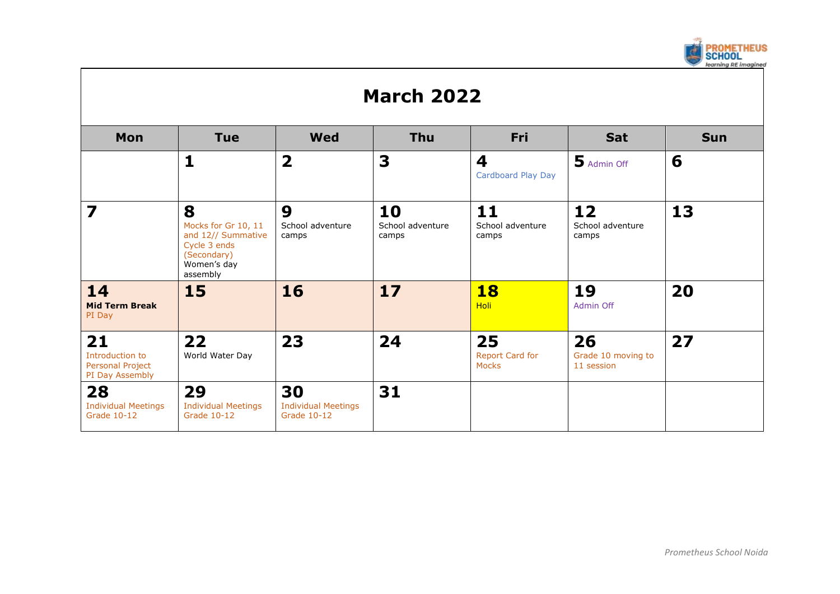

## **March 2022**

| Mon                                                          | <b>Tue</b>                                                                                               | <b>Wed</b>                                      | <b>Thu</b>                      | <b>Fri</b>                            | <b>Sat</b>                                     | <b>Sun</b> |
|--------------------------------------------------------------|----------------------------------------------------------------------------------------------------------|-------------------------------------------------|---------------------------------|---------------------------------------|------------------------------------------------|------------|
|                                                              |                                                                                                          | $\overline{\mathbf{2}}$                         | 3                               | 4<br>Cardboard Play Day               | Madmin Off                                     | 6          |
| 7                                                            | 8<br>Mocks for Gr 10, 11<br>and 12// Summative<br>Cycle 3 ends<br>(Secondary)<br>Women's day<br>assembly | 9<br>School adventure<br>camps                  | 10<br>School adventure<br>camps | $11$<br>School adventure<br>camps     | $12 \overline{ }$<br>School adventure<br>camps | 13         |
| 14<br><b>Mid Term Break</b><br>PI Day                        | <b>15</b>                                                                                                | <b>16</b>                                       | 17                              | <b>18</b><br><b>Holi</b>              | 19<br>Admin Off                                | 20         |
| 21<br>Introduction to<br>Personal Project<br>PI Day Assembly | 22<br>World Water Day                                                                                    | 23                                              | 24                              | 25<br>Report Card for<br><b>Mocks</b> | 26<br>Grade 10 moving to<br>11 session         | 27         |
| 28<br><b>Individual Meetings</b><br><b>Grade 10-12</b>       | 29<br><b>Individual Meetings</b><br>Grade 10-12                                                          | 30<br><b>Individual Meetings</b><br>Grade 10-12 | 31                              |                                       |                                                |            |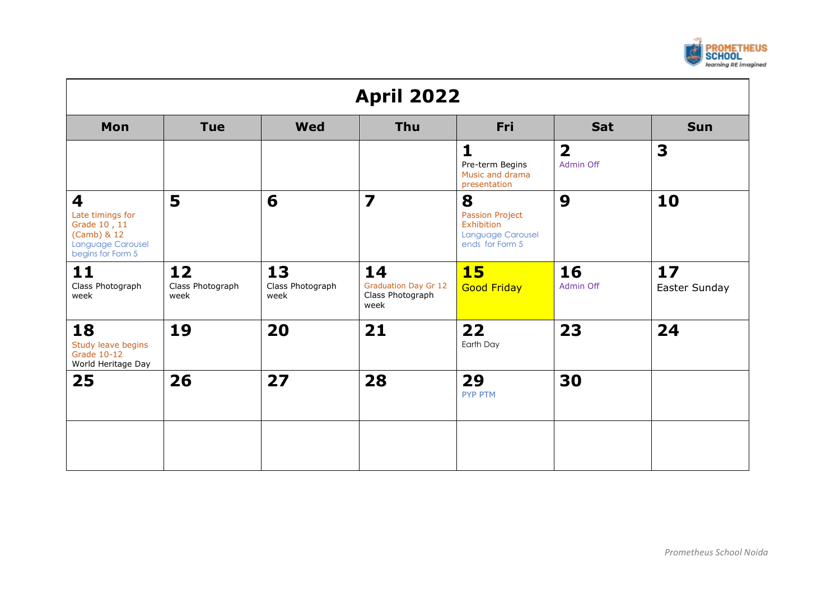

| <b>April 2022</b>                                                                              |                                |                                |                                                               |                                                                                   |                                      |                     |  |
|------------------------------------------------------------------------------------------------|--------------------------------|--------------------------------|---------------------------------------------------------------|-----------------------------------------------------------------------------------|--------------------------------------|---------------------|--|
| Mon                                                                                            | <b>Tue</b>                     | <b>Wed</b>                     | <b>Thu</b>                                                    | Fri                                                                               | Sat                                  | <b>Sun</b>          |  |
|                                                                                                |                                |                                |                                                               | 1<br>Pre-term Begins<br>Music and drama<br>presentation                           | $\overline{\mathbf{2}}$<br>Admin Off | 3                   |  |
| 4<br>Late timings for<br>Grade 10, 11<br>(Camb) & 12<br>Language Carousel<br>begins for Form 5 | 5                              | 6                              | $\overline{\mathbf{z}}$                                       | 8<br>Passion Project<br>Exhibition<br><b>Language Carousel</b><br>ends for Form 5 | 9                                    | 10                  |  |
| 11<br>Class Photograph<br>week                                                                 | 12<br>Class Photograph<br>week | 13<br>Class Photograph<br>week | 14<br><b>Graduation Day Gr 12</b><br>Class Photograph<br>week | <b>15</b><br><b>Good Friday</b>                                                   | 16<br>Admin Off                      | 17<br>Easter Sunday |  |
| 18<br>Study leave begins<br>Grade 10-12<br>World Heritage Day                                  | 19                             | 20                             | 21                                                            | 22<br>Earth Day                                                                   | 23                                   | 24                  |  |
| 25                                                                                             | 26                             | 27                             | 28                                                            | 29<br><b>PYP PTM</b>                                                              | 30                                   |                     |  |
|                                                                                                |                                |                                |                                                               |                                                                                   |                                      |                     |  |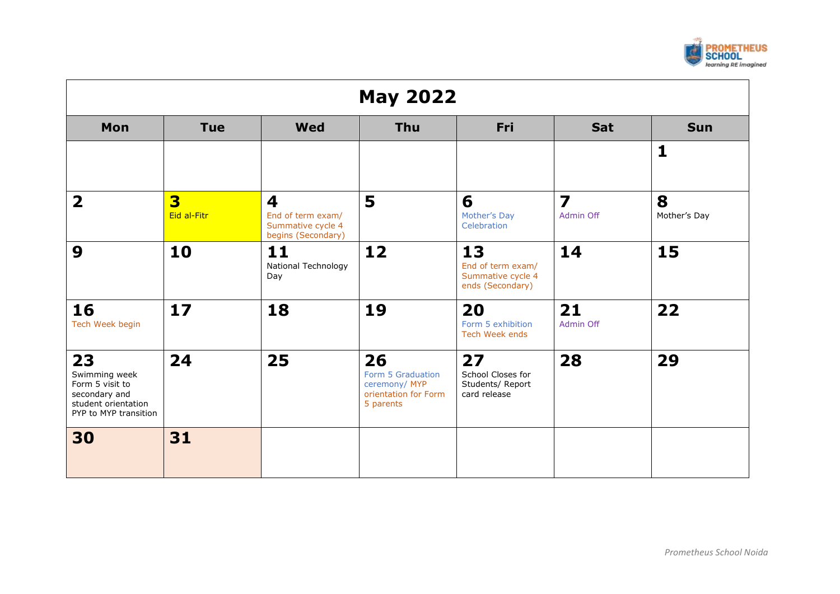

| <b>May 2022</b>                                                                                         |                  |                                                                                         |                                                                               |                                                                  |                                      |                   |  |  |
|---------------------------------------------------------------------------------------------------------|------------------|-----------------------------------------------------------------------------------------|-------------------------------------------------------------------------------|------------------------------------------------------------------|--------------------------------------|-------------------|--|--|
| Mon                                                                                                     | <b>Tue</b>       | <b>Wed</b>                                                                              | <b>Thu</b>                                                                    | Fri                                                              | <b>Sat</b>                           | <b>Sun</b>        |  |  |
|                                                                                                         |                  |                                                                                         |                                                                               |                                                                  |                                      | $\mathbf{1}$      |  |  |
| $\overline{\mathbf{2}}$                                                                                 | 3<br>Eid al-Fitr | $\overline{\mathbf{4}}$<br>End of term exam/<br>Summative cycle 4<br>begins (Secondary) | 5                                                                             | 6<br>Mother's Day<br>Celebration                                 | $\overline{\mathbf{z}}$<br>Admin Off | 8<br>Mother's Day |  |  |
| 9                                                                                                       | 10               | 11<br>National Technology<br>Day                                                        | 12                                                                            | 13<br>End of term exam/<br>Summative cycle 4<br>ends (Secondary) | 14                                   | 15                |  |  |
| 16<br>Tech Week begin                                                                                   | 17               | 18                                                                                      | 19                                                                            | 20<br>Form 5 exhibition<br>Tech Week ends                        | 21<br>Admin Off                      | 22                |  |  |
| 23<br>Swimming week<br>Form 5 visit to<br>secondary and<br>student orientation<br>PYP to MYP transition | 24               | 25                                                                                      | 26<br>Form 5 Graduation<br>ceremony/ MYP<br>orientation for Form<br>5 parents | 27<br>School Closes for<br>Students/ Report<br>card release      | 28                                   | 29                |  |  |
| 30                                                                                                      | 31               |                                                                                         |                                                                               |                                                                  |                                      |                   |  |  |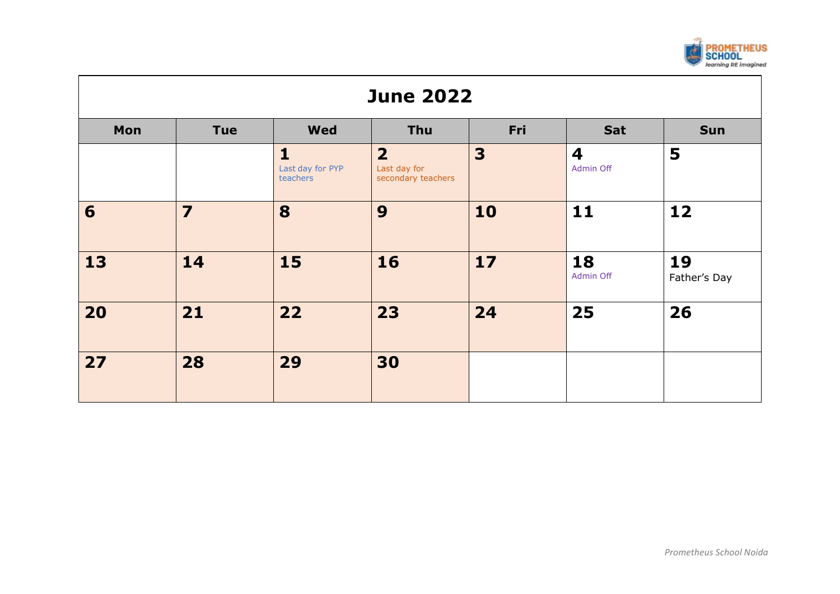

| <b>June 2022</b> |                                                      |                                              |                                                      |                         |                                      |                    |  |  |  |
|------------------|------------------------------------------------------|----------------------------------------------|------------------------------------------------------|-------------------------|--------------------------------------|--------------------|--|--|--|
| Mon              | Fri<br><b>Wed</b><br><b>Tue</b><br>Thu<br>Sun<br>Sat |                                              |                                                      |                         |                                      |                    |  |  |  |
|                  |                                                      | $\mathbf{1}$<br>Last day for PYP<br>teachers | $\overline{2}$<br>Last day for<br>secondary teachers | $\overline{\mathbf{3}}$ | $\overline{\mathbf{4}}$<br>Admin Off | 5                  |  |  |  |
| 6                | $\overline{\mathbf{z}}$                              | 8                                            | 9                                                    | 10                      | 11                                   | 12                 |  |  |  |
| 13               | 14                                                   | 15                                           | 16                                                   | 17                      | 18<br>Admin Off                      | 19<br>Father's Day |  |  |  |
| 20               | 21                                                   | 22                                           | 23                                                   | 24                      | 25                                   | 26                 |  |  |  |
| 27               | 28                                                   | 29                                           | 30                                                   |                         |                                      |                    |  |  |  |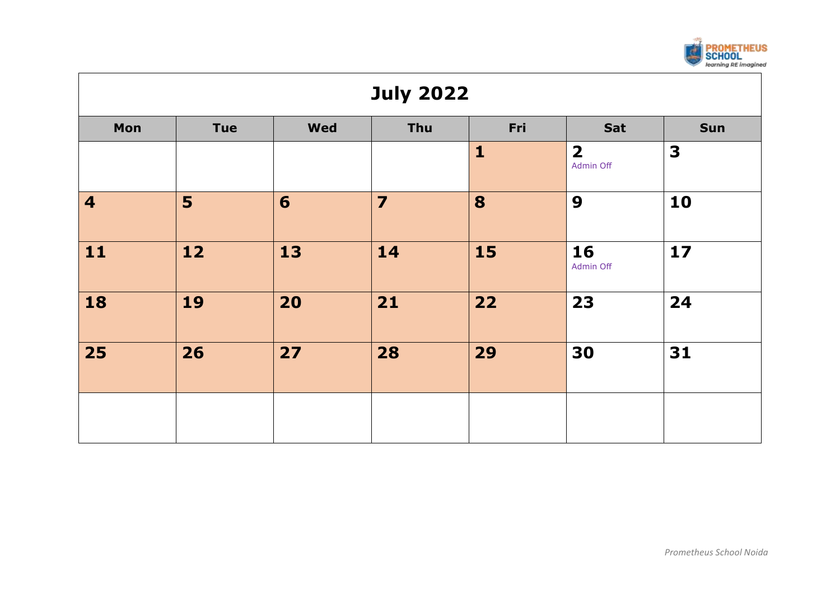

| <b>July 2022</b>        |                                                      |    |                |              |                                      |      |  |  |  |  |
|-------------------------|------------------------------------------------------|----|----------------|--------------|--------------------------------------|------|--|--|--|--|
| Mon                     | Fri<br><b>Wed</b><br>Thu<br>Sun<br><b>Tue</b><br>Sat |    |                |              |                                      |      |  |  |  |  |
|                         |                                                      |    |                | $\mathbf{1}$ | $\overline{\mathbf{2}}$<br>Admin Off | 3    |  |  |  |  |
| $\overline{\mathbf{4}}$ | 5                                                    | 6  | $\overline{7}$ | 8            | 9                                    | 10   |  |  |  |  |
| 11                      | 12                                                   | 13 | 14             | 15           | 16<br>Admin Off                      | $17$ |  |  |  |  |
| 18                      | 19                                                   | 20 | 21             | 22           | 23                                   | 24   |  |  |  |  |
| 25                      | 26                                                   | 27 | 28             | 29           | 30                                   | 31   |  |  |  |  |
|                         |                                                      |    |                |              |                                      |      |  |  |  |  |